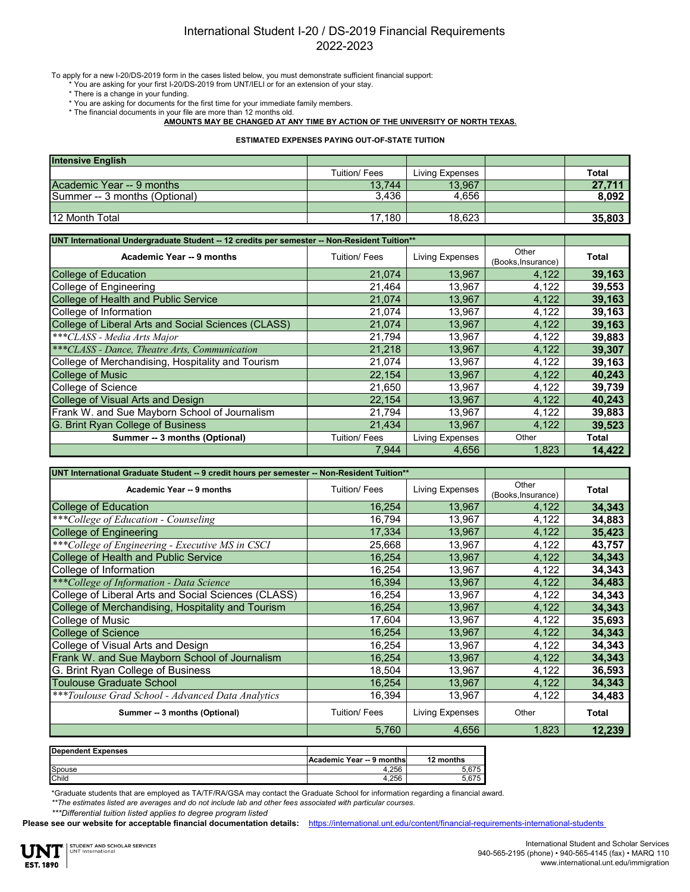## International Student I-20 / DS-2019 Financial Requirements 2022-2023

To apply for a new I-20/DS-2019 form in the cases listed below, you must demonstrate sufficient financial support:

\* You are asking for your first I-20/DS-2019 from UNT/IELI or for an extension of your stay.

- \* There is a change in your funding.
- \* You are asking for documents for the first time for your immediate family members.
- \* The financial documents in your file are more than 12 months old.

**AMOUNTS MAY BE CHANGED AT ANY TIME BY ACTION OF THE UNIVERSITY OF NORTH TEXAS.**

**ESTIMATED EXPENSES PAYING OUT-OF-STATE TUITION**

| <b>Intensive English</b>      |              |                 |              |
|-------------------------------|--------------|-----------------|--------------|
|                               | Tuition/Fees | Living Expenses | <b>Total</b> |
| Academic Year -- 9 months     | 13.744       | 13.967          | 27.711       |
| Summer -- 3 months (Optional) | 3.436        | 4.656           | 8.092        |
|                               |              |                 |              |
| <b>12 Month Total</b>         | 17,180       | 18.623          | 35,803       |

| UNT International Undergraduate Student -- 12 credits per semester -- Non-Resident Tuition** |                     |                 |                             |              |
|----------------------------------------------------------------------------------------------|---------------------|-----------------|-----------------------------|--------------|
| Academic Year -- 9 months                                                                    | Tuition/ Fees       | Living Expenses | Other<br>(Books, Insurance) | <b>Total</b> |
| <b>College of Education</b>                                                                  | 21,074              | 13,967          | 4,122                       | 39,163       |
| College of Engineering                                                                       | 21,464              | 13,967          | 4,122                       | 39,553       |
| College of Health and Public Service                                                         | 21,074              | 13,967          | 4,122                       | 39,163       |
| College of Information                                                                       | 21,074              | 13,967          | 4,122                       | 39,163       |
| College of Liberal Arts and Social Sciences (CLASS)                                          | 21,074              | 13,967          | 4,122                       | 39,163       |
| ***CLASS - Media Arts Major                                                                  | 21,794              | 13,967          | 4,122                       | 39,883       |
| ***CLASS - Dance, Theatre Arts, Communication                                                | 21,218              | 13,967          | 4,122                       | 39,307       |
| College of Merchandising, Hospitality and Tourism                                            | 21,074              | 13,967          | 4,122                       | 39,163       |
| <b>College of Music</b>                                                                      | 22,154              | 13,967          | 4,122                       | 40,243       |
| College of Science                                                                           | 21,650              | 13,967          | 4,122                       | 39,739       |
| College of Visual Arts and Design                                                            | 22,154              | 13,967          | 4,122                       | 40,243       |
| Frank W. and Sue Mayborn School of Journalism                                                | 21,794              | 13,967          | 4,122                       | 39,883       |
| G. Brint Ryan College of Business                                                            | 21.434              | 13.967          | 4,122                       | 39,523       |
| Summer -- 3 months (Optional)                                                                | <b>Tuition/Fees</b> | Living Expenses | Other                       | Total        |
|                                                                                              | 7.944               | 4.656           | 1.823                       | 14.422       |

| UNT International Graduate Student -- 9 credit hours per semester -- Non-Resident Tuition** |               |                 |                             |              |
|---------------------------------------------------------------------------------------------|---------------|-----------------|-----------------------------|--------------|
| Academic Year -- 9 months                                                                   | Tuition/ Fees | Living Expenses | Other<br>(Books, Insurance) | Total        |
| <b>College of Education</b>                                                                 | 16,254        | 13,967          | 4,122                       | 34,343       |
| ***College of Education - Counseling                                                        | 16,794        | 13,967          | 4,122                       | 34,883       |
| <b>College of Engineering</b>                                                               | 17,334        | 13,967          | 4,122                       | 35,423       |
| ***College of Engineering - Executive MS in CSCI                                            | 25,668        | 13,967          | 4,122                       | 43,757       |
| College of Health and Public Service                                                        | 16,254        | 13,967          | 4,122                       | 34,343       |
| College of Information                                                                      | 16,254        | 13,967          | 4,122                       | 34,343       |
| ***College of Information - Data Science                                                    | 16,394        | 13,967          | 4,122                       | 34,483       |
| College of Liberal Arts and Social Sciences (CLASS)                                         | 16,254        | 13,967          | 4,122                       | 34,343       |
| College of Merchandising, Hospitality and Tourism                                           | 16,254        | 13,967          | 4,122                       | 34,343       |
| College of Music                                                                            | 17,604        | 13,967          | 4,122                       | 35,693       |
| <b>College of Science</b>                                                                   | 16,254        | 13,967          | 4,122                       | 34,343       |
| College of Visual Arts and Design                                                           | 16,254        | 13,967          | 4,122                       | 34,343       |
| Frank W. and Sue Mayborn School of Journalism                                               | 16,254        | 13,967          | 4,122                       | 34,343       |
| G. Brint Ryan College of Business                                                           | 18,504        | 13,967          | 4,122                       | 36,593       |
| <b>Toulouse Graduate School</b>                                                             | 16,254        | 13,967          | 4,122                       | 34,343       |
| ***Toulouse Grad School - Advanced Data Analytics                                           | 16,394        | 13,967          | 4,122                       | 34,483       |
| Summer -- 3 months (Optional)                                                               | Tuition/ Fees | Living Expenses | Other                       | <b>Total</b> |
|                                                                                             | 5,760         | 4,656           | 1,823                       | 12,239       |
| <b>Dependent Expenses</b>                                                                   |               |                 |                             |              |

| <b>PODOITOOITE EXPOITSCS</b> |                           |              |
|------------------------------|---------------------------|--------------|
|                              | Academic Year -- 9 months | 12<br>months |
| Spouse                       | 4.256<br>д.               | 5.675        |
| Child                        | 4.256                     | 5.675        |
|                              |                           |              |

\*Graduate students that are employed as TA/TF/RA/GSA may contact the Graduate School for information regarding a financial award.

*\*\*The estimates listed are averages and do not include lab and other fees associated with particular courses.*

*\*\*\*Differential tuition listed applies to degree program listed*

**Please see our website for acceptable financial documentation details:** https://international.unt.edu/content/financial-requirements-international-students

**EST. 1890**